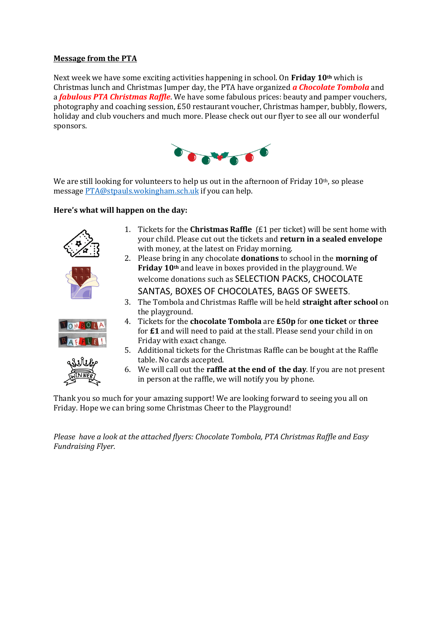### **Message from the PTA**

Next week we have some exciting activities happening in school. On **Friday 10th** which is Christmas lunch and Christmas Jumper day, the PTA have organized *a Chocolate Tombola* and a *fabulous PTA Christmas Raffle*. We have some fabulous prices: beauty and pamper vouchers, photography and coaching session, £50 restaurant voucher, Christmas hamper, bubbly, flowers, holiday and club vouchers and much more. Please check out our flyer to see all our wonderful sponsors.



We are still looking for volunteers to help us out in the afternoon of Friday  $10<sup>th</sup>$ , so please messag[e PTA@stpauls.wokingham.sch.](mailto:PTA@stpauls.wokingham.sch)uk if you can help.

### **Here's what will happen on the day:**





- 1. Tickets for the **Christmas Raffle** (£1 per ticket) will be sent home with your child. Please cut out the tickets and **return in a sealed envelope** with money, at the latest on Friday morning.
- 2. Please bring in any chocolate **donations** to school in the **morning of Friday 10th** and leave in boxes provided in the playground. We welcome donations such as SELECTION PACKS, CHOCOLATE SANTAS, BOXES OF CHOCOLATES, BAGS OF SWEETS.
- 3. The Tombola and Christmas Raffle will be held **straight after school** on the playground.



- 4. Tickets for the **chocolate Tombola** are **£50p** for **one ticket** or **three** for **£1** and will need to paid at the stall. Please send your child in on Friday with exact change.
- 5. Additional tickets for the Christmas Raffle can be bought at the Raffle table. No cards accepted.
- 6. We will call out the **raffle at the end of the day**. If you are not present in person at the raffle, we will notify you by phone.

Thank you so much for your amazing support! We are looking forward to seeing you all on Friday. Hope we can bring some Christmas Cheer to the Playground!

*Please have a look at the attached flyers: Chocolate Tombola, PTA Christmas Raffle and Easy Fundraising Flyer.*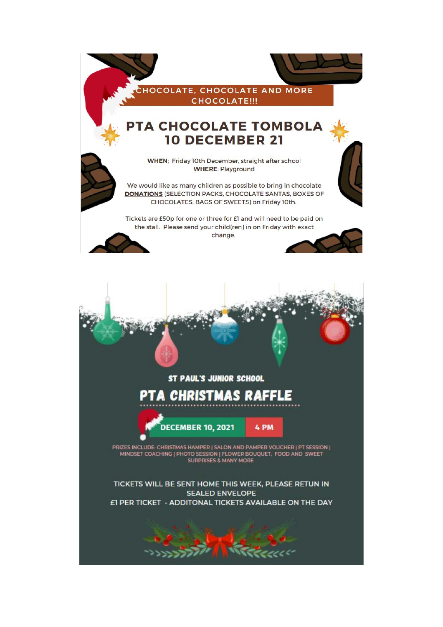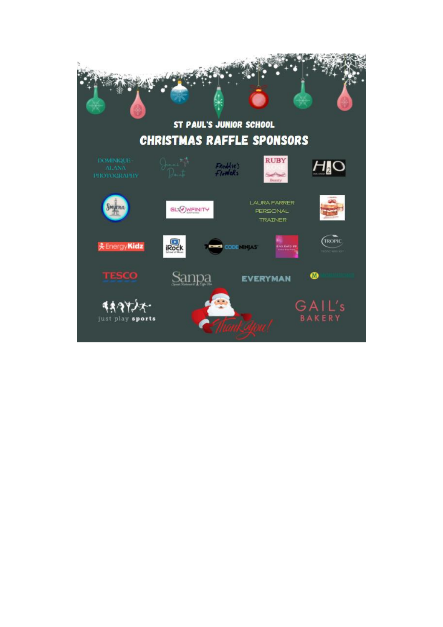